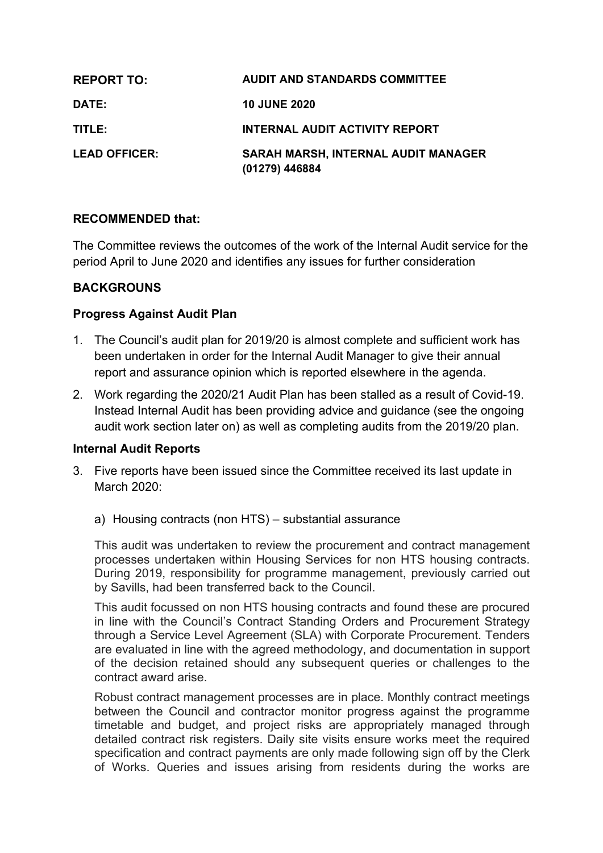| <b>REPORT TO:</b>    | <b>AUDIT AND STANDARDS COMMITTEE</b>                         |
|----------------------|--------------------------------------------------------------|
| DATE:                | <b>10 JUNE 2020</b>                                          |
| TITLE:               | <b>INTERNAL AUDIT ACTIVITY REPORT</b>                        |
| <b>LEAD OFFICER:</b> | <b>SARAH MARSH, INTERNAL AUDIT MANAGER</b><br>(01279) 446884 |

## **RECOMMENDED that:**

The Committee reviews the outcomes of the work of the Internal Audit service for the period April to June 2020 and identifies any issues for further consideration

## **BACKGROUNS**

### **Progress Against Audit Plan**

- 1. The Council's audit plan for 2019/20 is almost complete and sufficient work has been undertaken in order for the Internal Audit Manager to give their annual report and assurance opinion which is reported elsewhere in the agenda.
- 2. Work regarding the 2020/21 Audit Plan has been stalled as a result of Covid-19. Instead Internal Audit has been providing advice and guidance (see the ongoing audit work section later on) as well as completing audits from the 2019/20 plan.

### **Internal Audit Reports**

- 3. Five reports have been issued since the Committee received its last update in March 2020:
	- a) Housing contracts (non HTS) substantial assurance

This audit was undertaken to review the procurement and contract management processes undertaken within Housing Services for non HTS housing contracts. During 2019, responsibility for programme management, previously carried out by Savills, had been transferred back to the Council.

This audit focussed on non HTS housing contracts and found these are procured in line with the Council's Contract Standing Orders and Procurement Strategy through a Service Level Agreement (SLA) with Corporate Procurement. Tenders are evaluated in line with the agreed methodology, and documentation in support of the decision retained should any subsequent queries or challenges to the contract award arise.

Robust contract management processes are in place. Monthly contract meetings between the Council and contractor monitor progress against the programme timetable and budget, and project risks are appropriately managed through detailed contract risk registers. Daily site visits ensure works meet the required specification and contract payments are only made following sign off by the Clerk of Works. Queries and issues arising from residents during the works are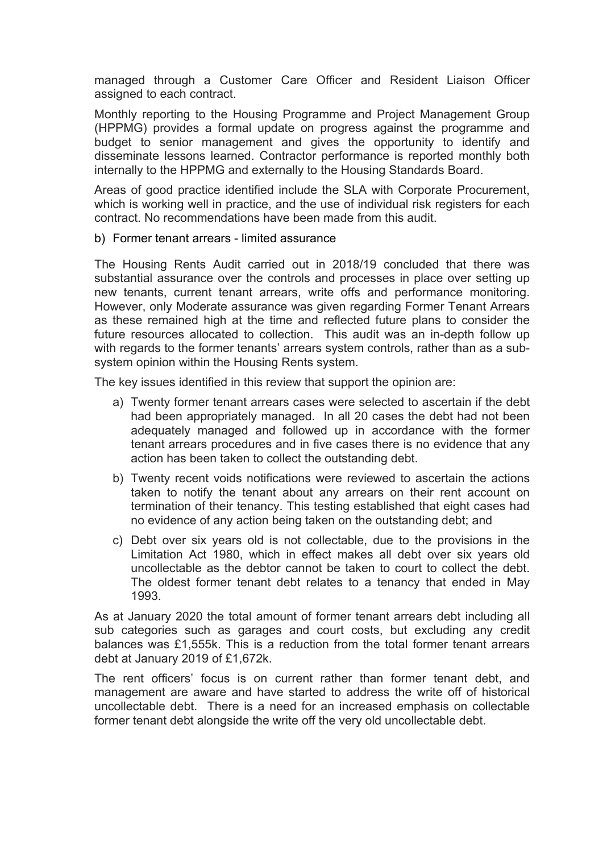managed through a Customer Care Officer and Resident Liaison Officer assigned to each contract.

Monthly reporting to the Housing Programme and Project Management Group (HPPMG) provides a formal update on progress against the programme and budget to senior management and gives the opportunity to identify and disseminate lessons learned. Contractor performance is reported monthly both internally to the HPPMG and externally to the Housing Standards Board.

Areas of good practice identified include the SLA with Corporate Procurement, which is working well in practice, and the use of individual risk registers for each contract. No recommendations have been made from this audit.

b) Former tenant arrears - limited assurance

The Housing Rents Audit carried out in 2018/19 concluded that there was substantial assurance over the controls and processes in place over setting up new tenants, current tenant arrears, write offs and performance monitoring. However, only Moderate assurance was given regarding Former Tenant Arrears as these remained high at the time and reflected future plans to consider the future resources allocated to collection. This audit was an in-depth follow up with regards to the former tenants' arrears system controls, rather than as a subsystem opinion within the Housing Rents system.

The key issues identified in this review that support the opinion are:

- a) Twenty former tenant arrears cases were selected to ascertain if the debt had been appropriately managed. In all 20 cases the debt had not been adequately managed and followed up in accordance with the former tenant arrears procedures and in five cases there is no evidence that any action has been taken to collect the outstanding debt.
- b) Twenty recent voids notifications were reviewed to ascertain the actions taken to notify the tenant about any arrears on their rent account on termination of their tenancy. This testing established that eight cases had no evidence of any action being taken on the outstanding debt; and
- c) Debt over six years old is not collectable, due to the provisions in the Limitation Act 1980, which in effect makes all debt over six years old uncollectable as the debtor cannot be taken to court to collect the debt. The oldest former tenant debt relates to a tenancy that ended in May 1993.

As at January 2020 the total amount of former tenant arrears debt including all sub categories such as garages and court costs, but excluding any credit balances was £1,555k. This is a reduction from the total former tenant arrears debt at January 2019 of £1,672k.

The rent officers' focus is on current rather than former tenant debt, and management are aware and have started to address the write off of historical uncollectable debt. There is a need for an increased emphasis on collectable former tenant debt alongside the write off the very old uncollectable debt.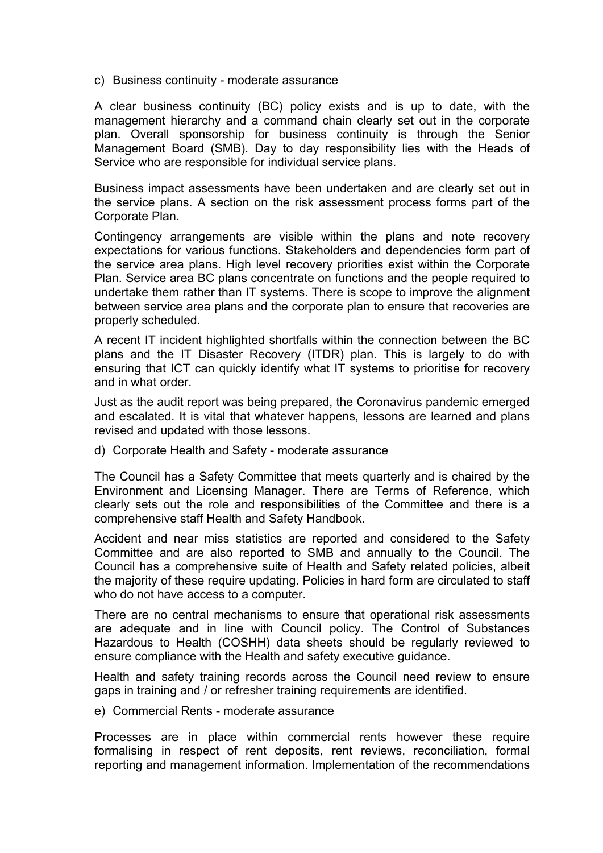c) Business continuity - moderate assurance

A clear business continuity (BC) policy exists and is up to date, with the management hierarchy and a command chain clearly set out in the corporate plan. Overall sponsorship for business continuity is through the Senior Management Board (SMB). Day to day responsibility lies with the Heads of Service who are responsible for individual service plans.

Business impact assessments have been undertaken and are clearly set out in the service plans. A section on the risk assessment process forms part of the Corporate Plan.

Contingency arrangements are visible within the plans and note recovery expectations for various functions. Stakeholders and dependencies form part of the service area plans. High level recovery priorities exist within the Corporate Plan. Service area BC plans concentrate on functions and the people required to undertake them rather than IT systems. There is scope to improve the alignment between service area plans and the corporate plan to ensure that recoveries are properly scheduled.

A recent IT incident highlighted shortfalls within the connection between the BC plans and the IT Disaster Recovery (ITDR) plan. This is largely to do with ensuring that ICT can quickly identify what IT systems to prioritise for recovery and in what order.

Just as the audit report was being prepared, the Coronavirus pandemic emerged and escalated. It is vital that whatever happens, lessons are learned and plans revised and updated with those lessons.

d) Corporate Health and Safety - moderate assurance

The Council has a Safety Committee that meets quarterly and is chaired by the Environment and Licensing Manager. There are Terms of Reference, which clearly sets out the role and responsibilities of the Committee and there is a comprehensive staff Health and Safety Handbook.

Accident and near miss statistics are reported and considered to the Safety Committee and are also reported to SMB and annually to the Council. The Council has a comprehensive suite of Health and Safety related policies, albeit the majority of these require updating. Policies in hard form are circulated to staff who do not have access to a computer.

There are no central mechanisms to ensure that operational risk assessments are adequate and in line with Council policy. The Control of Substances Hazardous to Health (COSHH) data sheets should be regularly reviewed to ensure compliance with the Health and safety executive guidance.

Health and safety training records across the Council need review to ensure gaps in training and / or refresher training requirements are identified.

e) Commercial Rents - moderate assurance

Processes are in place within commercial rents however these require formalising in respect of rent deposits, rent reviews, reconciliation, formal reporting and management information. Implementation of the recommendations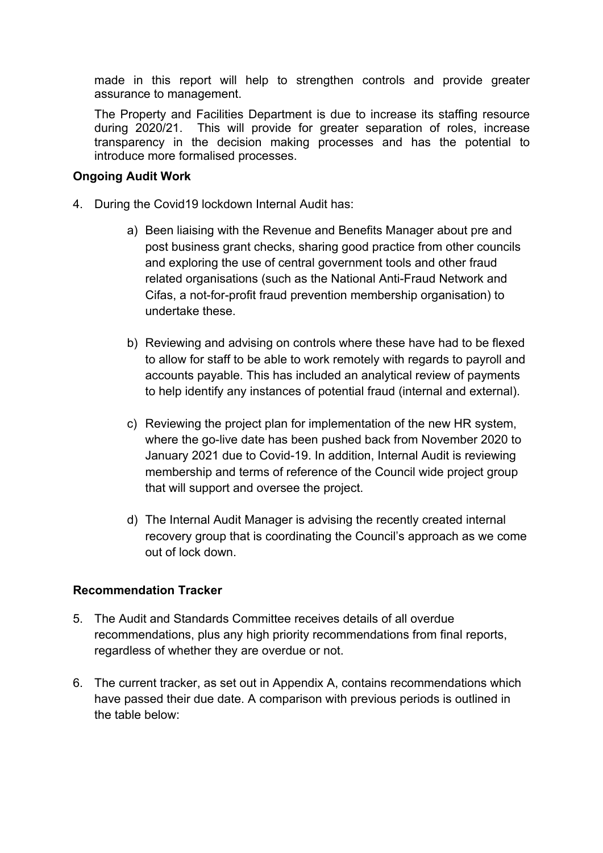made in this report will help to strengthen controls and provide greater assurance to management.

The Property and Facilities Department is due to increase its staffing resource during 2020/21. This will provide for greater separation of roles, increase transparency in the decision making processes and has the potential to introduce more formalised processes.

## **Ongoing Audit Work**

- 4. During the Covid19 lockdown Internal Audit has:
	- a) Been liaising with the Revenue and Benefits Manager about pre and post business grant checks, sharing good practice from other councils and exploring the use of central government tools and other fraud related organisations (such as the National Anti-Fraud Network and Cifas, a not-for-profit fraud prevention membership organisation) to undertake these.
	- b) Reviewing and advising on controls where these have had to be flexed to allow for staff to be able to work remotely with regards to payroll and accounts payable. This has included an analytical review of payments to help identify any instances of potential fraud (internal and external).
	- c) Reviewing the project plan for implementation of the new HR system, where the go-live date has been pushed back from November 2020 to January 2021 due to Covid-19. In addition, Internal Audit is reviewing membership and terms of reference of the Council wide project group that will support and oversee the project.
	- d) The Internal Audit Manager is advising the recently created internal recovery group that is coordinating the Council's approach as we come out of lock down.

# **Recommendation Tracker**

- 5. The Audit and Standards Committee receives details of all overdue recommendations, plus any high priority recommendations from final reports, regardless of whether they are overdue or not.
- 6. The current tracker, as set out in Appendix A, contains recommendations which have passed their due date. A comparison with previous periods is outlined in the table below: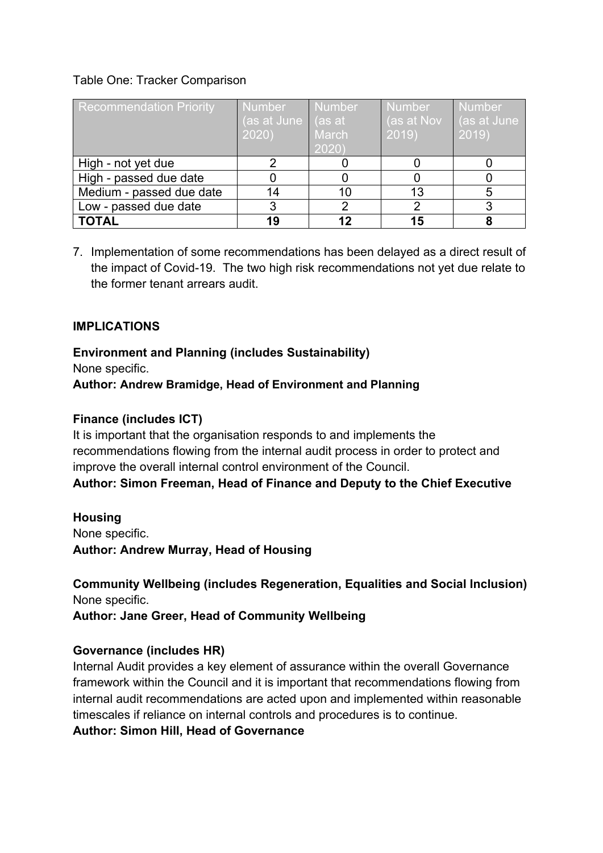## Table One: Tracker Comparison

| <b>Recommendation Priority</b> | <b>Number</b><br>(as at June   (as at<br>2020) | Number<br>March<br>2020) | <b>Number</b><br>∣ (as at N <u>ov</u> l<br>2019 | <b>Number</b><br>(as at June<br>2019) |
|--------------------------------|------------------------------------------------|--------------------------|-------------------------------------------------|---------------------------------------|
| High - not yet due             |                                                |                          |                                                 |                                       |
| High - passed due date         |                                                |                          |                                                 |                                       |
| Medium - passed due date       | 14                                             |                          | 13                                              | 5                                     |
| Low - passed due date          |                                                |                          |                                                 |                                       |
| <b>TOTAL</b>                   | 19                                             |                          | 15                                              |                                       |

7. Implementation of some recommendations has been delayed as a direct result of the impact of Covid-19. The two high risk recommendations not yet due relate to the former tenant arrears audit.

# **IMPLICATIONS**

**Environment and Planning (includes Sustainability)** None specific. **Author: Andrew Bramidge, Head of Environment and Planning**

## **Finance (includes ICT)**

It is important that the organisation responds to and implements the recommendations flowing from the internal audit process in order to protect and improve the overall internal control environment of the Council. **Author: Simon Freeman, Head of Finance and Deputy to the Chief Executive**

### **Housing**

None specific. **Author: Andrew Murray, Head of Housing**

**Community Wellbeing (includes Regeneration, Equalities and Social Inclusion)** None specific.

**Author: Jane Greer, Head of Community Wellbeing**

### **Governance (includes HR)**

Internal Audit provides a key element of assurance within the overall Governance framework within the Council and it is important that recommendations flowing from internal audit recommendations are acted upon and implemented within reasonable timescales if reliance on internal controls and procedures is to continue.

**Author: Simon Hill, Head of Governance**